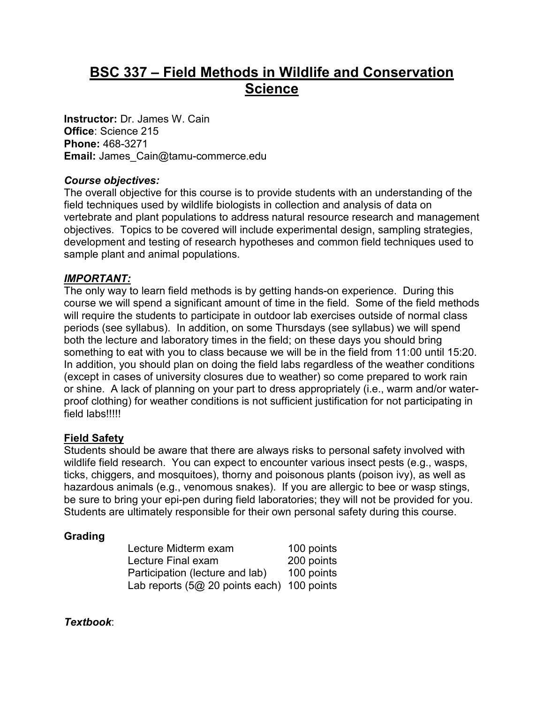# **BSC 337 – Field Methods in Wildlife and Conservation Science**

**Instructor:** Dr. James W. Cain **Office**: Science 215 **Phone:** 468-3271 **Email:** James\_Cain@tamu-commerce.edu

## *Course objectives:*

The overall objective for this course is to provide students with an understanding of the field techniques used by wildlife biologists in collection and analysis of data on vertebrate and plant populations to address natural resource research and management objectives. Topics to be covered will include experimental design, sampling strategies, development and testing of research hypotheses and common field techniques used to sample plant and animal populations.

# *IMPORTANT:*

The only way to learn field methods is by getting hands-on experience. During this course we will spend a significant amount of time in the field. Some of the field methods will require the students to participate in outdoor lab exercises outside of normal class periods (see syllabus). In addition, on some Thursdays (see syllabus) we will spend both the lecture and laboratory times in the field; on these days you should bring something to eat with you to class because we will be in the field from 11:00 until 15:20. In addition, you should plan on doing the field labs regardless of the weather conditions (except in cases of university closures due to weather) so come prepared to work rain or shine. A lack of planning on your part to dress appropriately (i.e., warm and/or waterproof clothing) for weather conditions is not sufficient justification for not participating in field labs!!!!!

# **Field Safety**

Students should be aware that there are always risks to personal safety involved with wildlife field research. You can expect to encounter various insect pests (e.g., wasps, ticks, chiggers, and mosquitoes), thorny and poisonous plants (poison ivy), as well as hazardous animals (e.g., venomous snakes). If you are allergic to bee or wasp stings, be sure to bring your epi-pen during field laboratories; they will not be provided for you. Students are ultimately responsible for their own personal safety during this course.

## **Grading**

| Lecture Midterm exam                        | 100 points |
|---------------------------------------------|------------|
| Lecture Final exam                          | 200 points |
| Participation (lecture and lab)             | 100 points |
| Lab reports $(5@20$ points each) 100 points |            |

*Textbook*: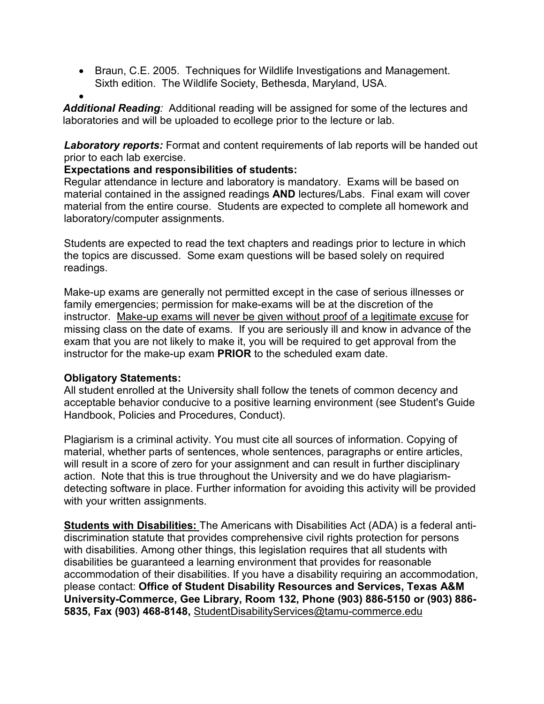• Braun, C.E. 2005. Techniques for Wildlife Investigations and Management. Sixth edition. The Wildlife Society, Bethesda, Maryland, USA.

• *Additional Reading:* Additional reading will be assigned for some of the lectures and laboratories and will be uploaded to ecollege prior to the lecture or lab*.*

**Laboratory reports:** Format and content requirements of lab reports will be handed out prior to each lab exercise.

## **Expectations and responsibilities of students:**

Regular attendance in lecture and laboratory is mandatory. Exams will be based on material contained in the assigned readings **AND** lectures/Labs. Final exam will cover material from the entire course. Students are expected to complete all homework and laboratory/computer assignments.

Students are expected to read the text chapters and readings prior to lecture in which the topics are discussed. Some exam questions will be based solely on required readings.

Make-up exams are generally not permitted except in the case of serious illnesses or family emergencies; permission for make-exams will be at the discretion of the instructor. Make-up exams will never be given without proof of a legitimate excuse for missing class on the date of exams. If you are seriously ill and know in advance of the exam that you are not likely to make it, you will be required to get approval from the instructor for the make-up exam **PRIOR** to the scheduled exam date.

## **Obligatory Statements:**

All student enrolled at the University shall follow the tenets of common decency and acceptable behavior conducive to a positive learning environment (see Student's Guide Handbook, Policies and Procedures, Conduct).

Plagiarism is a criminal activity. You must cite all sources of information. Copying of material, whether parts of sentences, whole sentences, paragraphs or entire articles, will result in a score of zero for your assignment and can result in further disciplinary action. Note that this is true throughout the University and we do have plagiarismdetecting software in place. Further information for avoiding this activity will be provided with your written assignments.

**Students with Disabilities:** The Americans with Disabilities Act (ADA) is a federal antidiscrimination statute that provides comprehensive civil rights protection for persons with disabilities. Among other things, this legislation requires that all students with disabilities be guaranteed a learning environment that provides for reasonable accommodation of their disabilities. If you have a disability requiring an accommodation, please contact: **Office of Student Disability Resources and Services, Texas A&M University-Commerce, Gee Library, Room 132, Phone (903) 886-5150 or (903) 886- 5835, Fax (903) 468-8148,** StudentDisabilityServices@tamu-commerce.edu